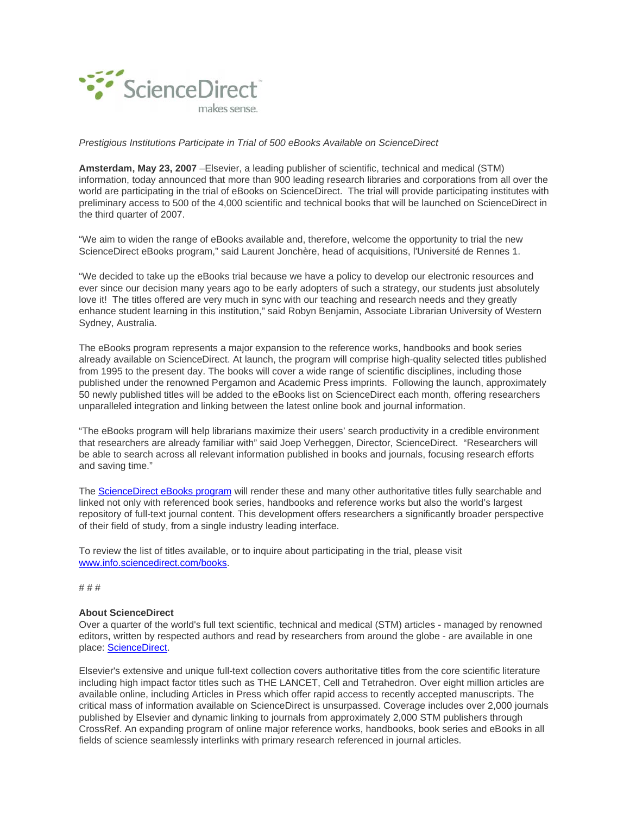

## *Prestigious Institutions Participate in Trial of 500 eBooks Available on ScienceDirect*

**Amsterdam, May 23, 2007** –Elsevier, a leading publisher of scientific, technical and medical (STM) information, today announced that more than 900 leading research libraries and corporations from all over the world are participating in the trial of eBooks on ScienceDirect. The trial will provide participating institutes with preliminary access to 500 of the 4,000 scientific and technical books that will be launched on ScienceDirect in the third quarter of 2007.

"We aim to widen the range of eBooks available and, therefore, welcome the opportunity to trial the new ScienceDirect eBooks program," said Laurent Jonchère, head of acquisitions, l'Université de Rennes 1.

"We decided to take up the eBooks trial because we have a policy to develop our electronic resources and ever since our decision many years ago to be early adopters of such a strategy, our students just absolutely love it! The titles offered are very much in sync with our teaching and research needs and they greatly enhance student learning in this institution," said Robyn Benjamin, Associate Librarian University of Western Sydney, Australia.

The eBooks program represents a major expansion to the reference works, handbooks and book series already available on ScienceDirect. At launch, the program will comprise high-quality selected titles published from 1995 to the present day. The books will cover a wide range of scientific disciplines, including those published under the renowned Pergamon and Academic Press imprints. Following the launch, approximately 50 newly published titles will be added to the eBooks list on ScienceDirect each month, offering researchers unparalleled integration and linking between the latest online book and journal information.

"The eBooks program will help librarians maximize their users' search productivity in a credible environment that researchers are already familiar with" said Joep Verheggen, Director, ScienceDirect. "Researchers will be able to search across all relevant information published in books and journals, focusing research efforts and saving time."

The ScienceDirect eBooks program will render these and many other authoritative titles fully searchable and linked not only with referenced book series, handbooks and reference works but also the world's largest repository of full-text journal content. This development offers researchers a significantly broader perspective of their field of study, from a single industry leading interface.

To review the list of titles available, or to inquire about participating in the trial, please visit www.info.sciencedirect.com/books.

# # #

## **About ScienceDirect**

Over a quarter of the world's full text scientific, technical and medical (STM) articles - managed by renowned editors, written by respected authors and read by researchers from around the globe - are available in one place: ScienceDirect.

Elsevier's extensive and unique full-text collection covers authoritative titles from the core scientific literature including high impact factor titles such as THE LANCET, Cell and Tetrahedron. Over eight million articles are available online, including Articles in Press which offer rapid access to recently accepted manuscripts. The critical mass of information available on ScienceDirect is unsurpassed. Coverage includes over 2,000 journals published by Elsevier and dynamic linking to journals from approximately 2,000 STM publishers through CrossRef. An expanding program of online major reference works, handbooks, book series and eBooks in all fields of science seamlessly interlinks with primary research referenced in journal articles.